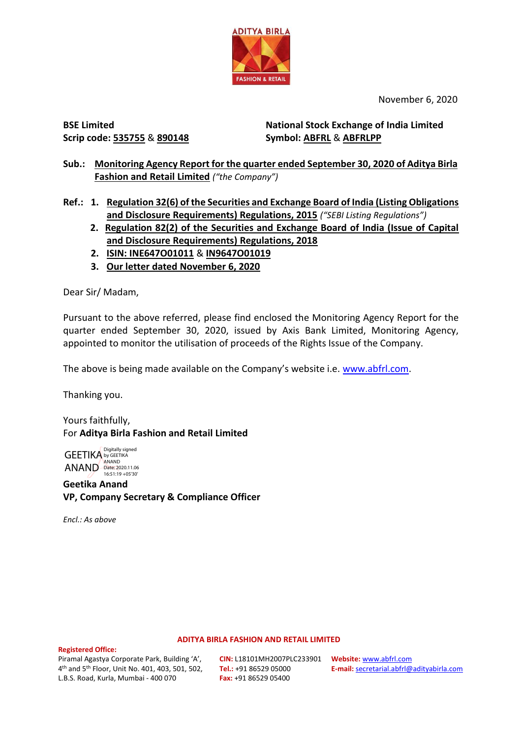

November 6, 2020

**BSE Limited Scrip code: 535755** & **890148**

**National Stock Exchange of India Limited Symbol: ABFRL** & **ABFRLPP**

**Sub.: Monitoring Agency Report for the quarter ended September 30, 2020 of Aditya Birla Fashion and Retail Limited** *("the Company")*

**Ref.: 1. Regulation 32(6) of the Securities and Exchange Board of India (Listing Obligations and Disclosure Requirements) Regulations, 2015** *("SEBI Listing Regulations")*

- **2. Regulation 82(2) of the Securities and Exchange Board of India (Issue of Capital and Disclosure Requirements) Regulations, 2018**
- **2. ISIN: INE647O01011** & **IN9647O01019**
- **3. Our letter dated November 6, 2020**

Dear Sir/ Madam,

Pursuant to the above referred, please find enclosed the Monitoring Agency Report for the quarter ended September 30, 2020, issued by Axis Bank Limited, Monitoring Agency, appointed to monitor the utilisation of proceeds of the Rights Issue of the Company.

The above is being made available on the Company's website i.e. [www.abfrl.com.](http://www.abfrl.com/)

Thanking you.

Yours faithfully, For **Aditya Birla Fashion and Retail Limited**

GEETIKA by GEETIKA ANAND ANAND Date: 2020.11.06 Digitally signed 16:51:19 +05'30'

**Geetika Anand VP, Company Secretary & Compliance Officer**

*Encl.: As above*

## **ADITYA BIRLA FASHION AND RETAIL LIMITED**

### **Registered Office:**

Piramal Agastya Corporate Park, Building 'A', 4 th and 5th Floor, Unit No. 401, 403, 501, 502, L.B.S. Road, Kurla, Mumbai - 400 070

**CIN:** L18101MH2007PLC233901 **Website:** [www.abfrl.com](http://www.abfrl.com/) **Tel.:** +91 86529 05000 **Fax:** +91 86529 05400

**E-mail:** [secretarial.abfrl@adityabirla.com](mailto:secretarial.abfrl@adityabirla.com)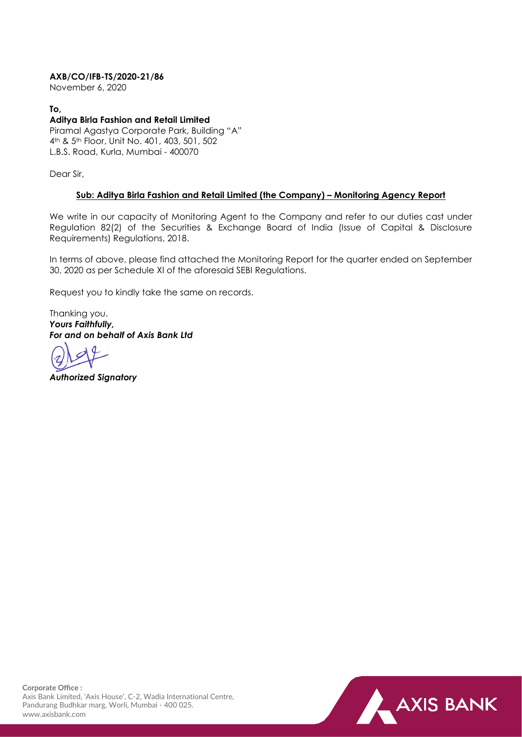# **AXB/CO/IFB-TS/2020-21/86**

November 6, 2020

## **To,**

# **Aditya Birla Fashion and Retail Limited**

Piramal Agastya Corporate Park, Building "A" 4th & 5th Floor, Unit No. 401, 403, 501, 502 L.B.S. Road, Kurla, Mumbai - 400070

Dear Sir,

## **Sub: Aditya Birla Fashion and Retail Limited (the Company) – Monitoring Agency Report**

We write in our capacity of Monitoring Agent to the Company and refer to our duties cast under Regulation 82(2) of the Securities & Exchange Board of India (Issue of Capital & Disclosure Requirements) Regulations, 2018.

In terms of above, please find attached the Monitoring Report for the quarter ended on September 30, 2020 as per Schedule XI of the aforesaid SEBI Regulations.

Request you to kindly take the same on records.

Thanking you. *Yours Faithfully, For and on behalf of Axis Bank Ltd*

*Authorized Signatory*



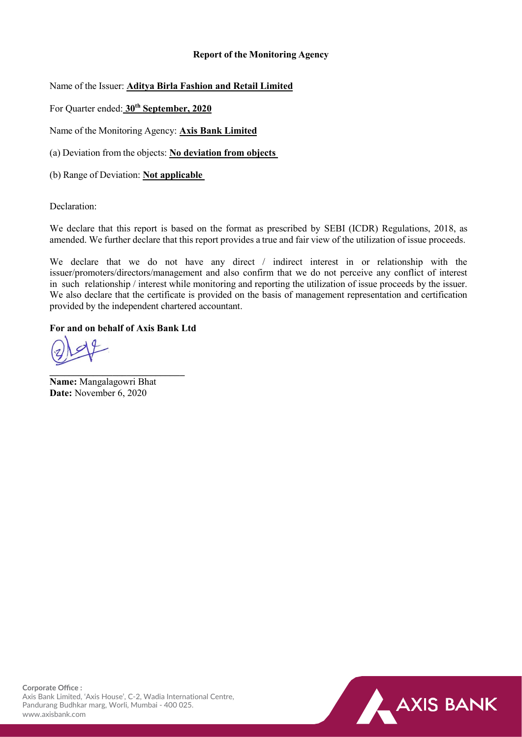# **Report of the Monitoring Agency**

Name of the Issuer: **Aditya Birla Fashion and Retail Limited**

For Quarter ended: **30th September, 2020**

Name of the Monitoring Agency: **Axis Bank Limited**

(a) Deviation from the objects: **No deviation from objects**

(b) Range of Deviation: **Not applicable**

Declaration:

We declare that this report is based on the format as prescribed by SEBI (ICDR) Regulations, 2018, as amended. We further declare that this report provides a true and fair view of the utilization of issue proceeds.

We declare that we do not have any direct / indirect interest in or relationship with the issuer/promoters/directors/management and also confirm that we do not perceive any conflict of interest in such relationship / interest while monitoring and reporting the utilization of issue proceeds by the issuer. We also declare that the certificate is provided on the basis of management representation and certification provided by the independent chartered accountant.

# **For and on behalf of Axis Bank Ltd**

**\_\_\_\_\_\_\_\_\_\_\_\_\_\_\_\_\_\_\_\_\_\_\_\_\_\_\_\_ Name:** Mangalagowri Bhat **Date:** November 6, 2020

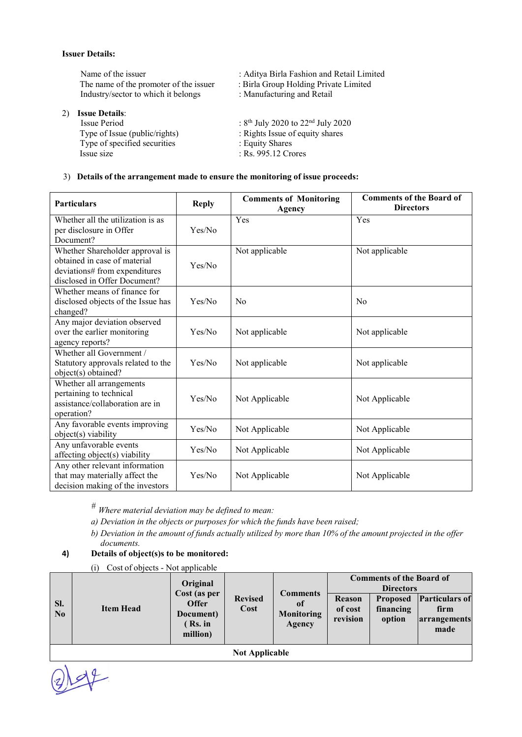#### **Issuer Details:**

Name of the issuer : Aditya Birla Fashion and Retail Limited<br>The name of the promoter of the issuer : Birla Group Holding Private Limited The name of the promoter of the issuer : Birla Group Holding Private Industry/sector to which it belongs : Manufacturing and Retail Industry/sector to which it belongs

# 2) **Issue Details**:

Issue Period : 8<sup>th</sup> July 2020 to 22<sup>nd</sup> July 2020<br>Type of Issue (public/rights) : Rights Issue of equity shares Type of specified securities Issue size

- 
- 
- 
- 
- : Rights Issue of equity shares<br>: Equity Shares
- - $\overline{\phantom{0}}$  : Rs. 995.12 Crores

#### 3) **Details of the arrangement made to ensure the monitoring of issue proceeds:**

| <b>Particulars</b>                                                                                                               | <b>Reply</b> | <b>Comments of Monitoring</b><br>Agency | <b>Comments of the Board of</b><br><b>Directors</b> |
|----------------------------------------------------------------------------------------------------------------------------------|--------------|-----------------------------------------|-----------------------------------------------------|
| Whether all the utilization is as<br>per disclosure in Offer<br>Document?                                                        | Yes/No       | Yes                                     | Yes                                                 |
| Whether Shareholder approval is<br>obtained in case of material<br>deviations# from expenditures<br>disclosed in Offer Document? | Yes/No       | Not applicable                          | Not applicable                                      |
| Whether means of finance for<br>disclosed objects of the Issue has<br>changed?                                                   | Yes/No       | N <sub>0</sub>                          | N <sub>0</sub>                                      |
| Any major deviation observed<br>over the earlier monitoring<br>agency reports?                                                   | Yes/No       | Not applicable                          | Not applicable                                      |
| Whether all Government /<br>Statutory approvals related to the<br>object(s) obtained?                                            | Yes/No       | Not applicable                          | Not applicable                                      |
| Whether all arrangements<br>pertaining to technical<br>assistance/collaboration are in<br>operation?                             | Yes/No       | Not Applicable                          | Not Applicable                                      |
| Any favorable events improving<br>object(s) viability                                                                            | Yes/No       | Not Applicable                          | Not Applicable                                      |
| Any unfavorable events<br>affecting object(s) viability                                                                          | Yes/No       | Not Applicable                          | Not Applicable                                      |
| Any other relevant information<br>that may materially affect the<br>decision making of the investors                             | Yes/No       | Not Applicable                          | Not Applicable                                      |

*# Where material deviation may be defined to mean:*

- *a) Deviation in the objects or purposes for which the funds have been raised;*
- b) Deviation in the amount of funds actually utilized by more than 10% of the amount projected in the offer *documents.*

## **4) Details of object(s)s to be monitored:**

(i) Cost of objects - Not applicable

| <b>Revised</b><br><b>Particulars of</b><br><b>Reason</b><br><b>Proposed</b><br>SI.<br><b>Offer</b><br>of<br>Cost<br><b>Item Head</b><br>of cost<br>financing<br>firm<br>N <sub>0</sub><br><b>Monitoring</b><br>Document)<br>revision<br>option<br>arrangements |  | Original<br>Cost (as per | <b>Comments</b> | <b>Comments of the Board of</b><br><b>Directors</b> |  |  |  |
|----------------------------------------------------------------------------------------------------------------------------------------------------------------------------------------------------------------------------------------------------------------|--|--------------------------|-----------------|-----------------------------------------------------|--|--|--|
|                                                                                                                                                                                                                                                                |  |                          | (Rs. in         | Agency                                              |  |  |  |
|                                                                                                                                                                                                                                                                |  |                          |                 |                                                     |  |  |  |
| <b>Not Applicable</b>                                                                                                                                                                                                                                          |  |                          |                 |                                                     |  |  |  |

 $42$